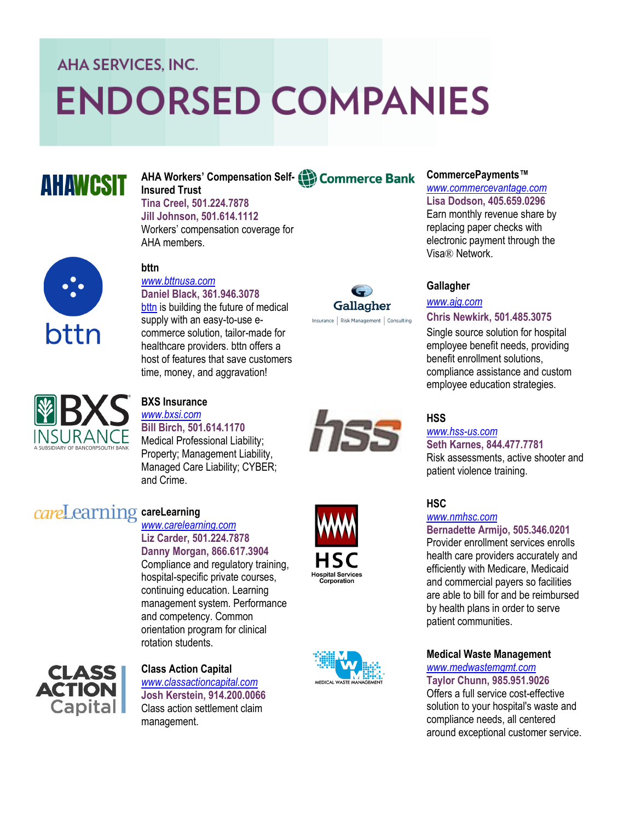# **AHA SERVICES, INC.**

# **ENDORSED COMPANIES**

# **AHAWCSIT**

#### **AHA Workers' Compensation Self - Insured Trust**

**Tina Creel, 501.224.7878 Jill Johnson, 501.614.1112** Workers' compensation coverage for AHA members.



#### **bttn** *[www.bttnusa.com](http://www.bttnusa.com)*

**Daniel Black, 361.946.3078**

[bttn](https://bttnusa.com/) is building the future of medical supply with an easy-to-use ecommerce solution, tailor -made for healthcare providers. bttn offers a host of features that save customers time, money, and aggravation!



### **CommercePayments™**

*[www.commercevantage.com](http://www.commercevantage.com)* **Lisa Dodson, 405.659.0296** Earn monthly revenue share by replacing paper checks with electronic payment through the Visa ® Network.

# **Gallagher**

# *[www.ajg.com](http://www.hagan-newkirk.com)*

## **Chris Newkirk, 501.485.3075**

Single source solution for hospital employee benefit needs, providing benefit enrollment solutions, compliance assistance and custom employee education strategies.

# **HSS**

#### *[www.hss](http://www.hss-us.com) -us.com* **Seth Karnes, 844.477.7781** Risk assessments, active shooter and patient violence training.

**HSC**

# *[www.nmhsc.com](http://www.nmhsc.com)*

# **Bernadette Armijo, 505.346.0201**

Provider enrollment services enrolls health care providers accurately and efficiently with Medicare, Medicaid and commercial payers so facilities are able to bill for and be reimbursed by health plans in order to serve patient communities.

# **Medical Waste Management**

# *[www.medwastemgmt.com](http://www.medwastemgmt.com)*

**Taylor Chunn, 985.951.9026** Offers a full service cost -effective solution to your hospital's waste and compliance needs, all centered around exceptional customer service.



# **BXS Insurance** *[www.bxsi.com](http://www.bxsi.com)*

**Bill Birch, 501.614.1170**

Medical Professional Liability; Property; Management Liability, Managed Care Liability; CYBER; and Crime.

# **careLearning**

### *[www.carelearning.com](http://www.carelearning.com)* **Liz Carder, 501.224.7878 Danny Morgan, 866.617.3904**

Compliance and regulatory training, hospital -specific private courses, continuing education. Learning management system. Performance and competency. Common orientation program for clinical rotation students.



# **Class Action Capital** *[www.classactioncapital.com](http://www.carelearning.com)* **Josh Kerstein, 914.200.0066** Class action settlement claim management.





hss